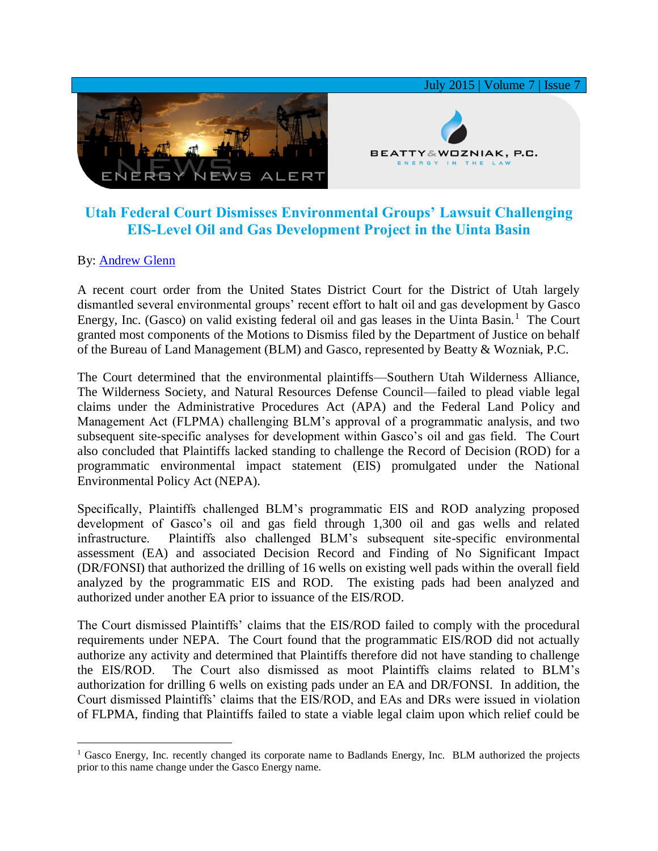

## **Utah Federal Court Dismisses Environmental Groups' Lawsuit Challenging EIS-Level Oil and Gas Development Project in the Uinta Basin**

## By: [Andrew Glenn](http://www.bwenergylaw.com/#!andrew-glenn/c1mcj)

 $\overline{a}$ 

A recent court order from the United States District Court for the District of Utah largely dismantled several environmental groups' recent effort to halt oil and gas development by Gasco Energy, Inc. (Gasco) on valid existing federal oil and gas leases in the Uinta Basin.<sup>1</sup> The Court granted most components of the Motions to Dismiss filed by the Department of Justice on behalf of the Bureau of Land Management (BLM) and Gasco, represented by Beatty & Wozniak, P.C.

The Court determined that the environmental plaintiffs—Southern Utah Wilderness Alliance, The Wilderness Society, and Natural Resources Defense Council—failed to plead viable legal claims under the Administrative Procedures Act (APA) and the Federal Land Policy and Management Act (FLPMA) challenging BLM's approval of a programmatic analysis, and two subsequent site-specific analyses for development within Gasco's oil and gas field. The Court also concluded that Plaintiffs lacked standing to challenge the Record of Decision (ROD) for a programmatic environmental impact statement (EIS) promulgated under the National Environmental Policy Act (NEPA).

Specifically, Plaintiffs challenged BLM's programmatic EIS and ROD analyzing proposed development of Gasco's oil and gas field through 1,300 oil and gas wells and related infrastructure. Plaintiffs also challenged BLM's subsequent site-specific environmental assessment (EA) and associated Decision Record and Finding of No Significant Impact (DR/FONSI) that authorized the drilling of 16 wells on existing well pads within the overall field analyzed by the programmatic EIS and ROD. The existing pads had been analyzed and authorized under another EA prior to issuance of the EIS/ROD.

The Court dismissed Plaintiffs' claims that the EIS/ROD failed to comply with the procedural requirements under NEPA. The Court found that the programmatic EIS/ROD did not actually authorize any activity and determined that Plaintiffs therefore did not have standing to challenge the EIS/ROD. The Court also dismissed as moot Plaintiffs claims related to BLM's authorization for drilling 6 wells on existing pads under an EA and DR/FONSI. In addition, the Court dismissed Plaintiffs' claims that the EIS/ROD, and EAs and DRs were issued in violation of FLPMA, finding that Plaintiffs failed to state a viable legal claim upon which relief could be

<sup>&</sup>lt;sup>1</sup> Gasco Energy, Inc. recently changed its corporate name to Badlands Energy, Inc. BLM authorized the projects prior to this name change under the Gasco Energy name.